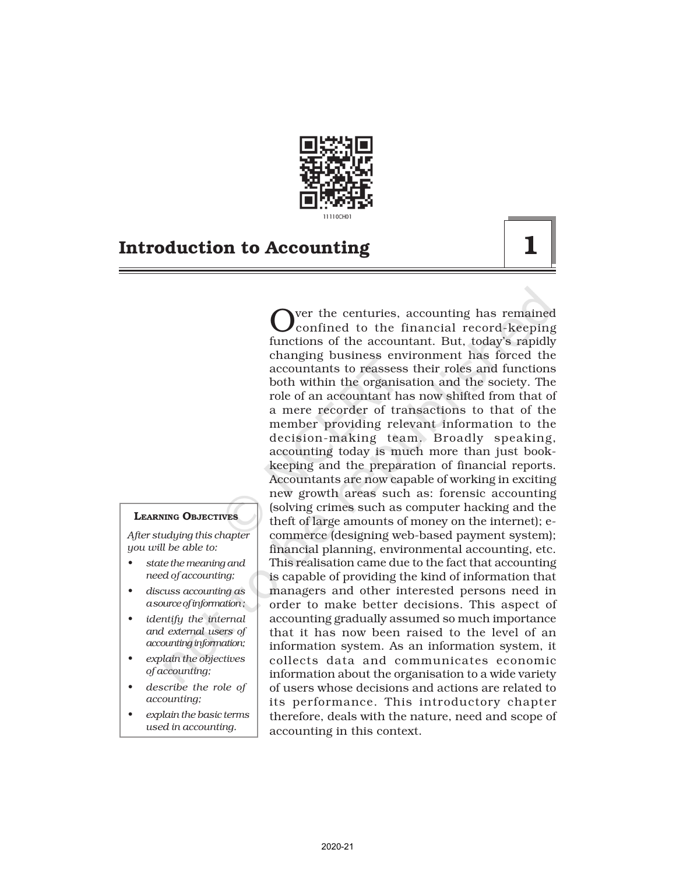

Over the centuries, accounting has remained<br>functions of the accountant. But, today's rapidly ver the centuries, accounting has remained confined to the financial record-keeping changing business environment has forced the accountants to reassess their roles and functions both within the organisation and the society. The role of an accountant has now shifted from that of a mere recorder of transactions to that of the member providing relevant information to the decision-making team. Broadly speaking, accounting today is much more than just bookkeeping and the preparation of financial reports. Accountants are now capable of working in exciting new growth areas such as: forensic accounting (solving crimes such as computer hacking and the theft of large amounts of money on the internet); ecommerce (designing web-based payment system); financial planning, environmental accounting, etc. This realisation came due to the fact that accounting is capable of providing the kind of information that managers and other interested persons need in order to make better decisions. This aspect of accounting gradually assumed so much importance that it has now been raised to the level of an information system. As an information system, it collects data and communicates economic information about the organisation to a wide variety of users whose decisions and actions are related to its performance. This introductory chapter therefore, deals with the nature, need and scope of accounting in this context.

#### LEARNING OBJECTIVES

*After studying this chapter you will be able to:*

- *• state the meaning and need of accounting;*
- *• discuss accounting as a source of information ;*
- *• identify the internal and external users of accounting information;*
- *• explain the objectives of accounting;*
- *• describe the role of accounting;*
- *• explain the basic terms used in accounting.*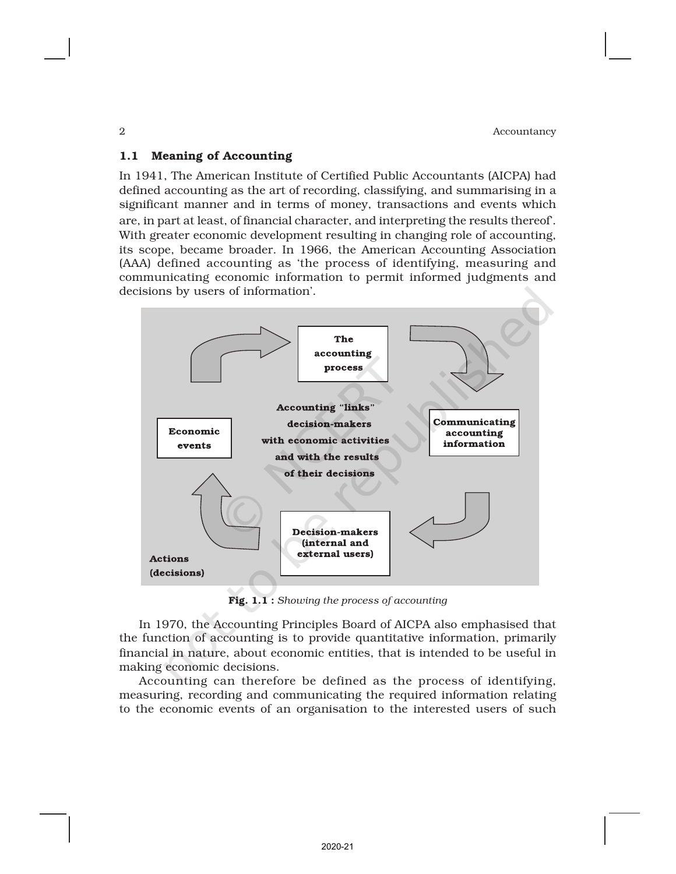## 1.1 Meaning of Accounting

In 1941, The American Institute of Certified Public Accountants (AICPA) had defined accounting as the art of recording, classifying, and summarising in a significant manner and in terms of money, transactions and events which are, in part at least, of financial character, and interpreting the results thereof'. With greater economic development resulting in changing role of accounting, its scope, became broader. In 1966, the American Accounting Association (AAA) defined accounting as 'the process of identifying, measuring and communicating economic information to permit informed judgments and decisions by users of information'.



Fig. 1.1 : *Showing the process of accounting*

In 1970, the Accounting Principles Board of AICPA also emphasised that the function of accounting is to provide quantitative information, primarily financial in nature, about economic entities, that is intended to be useful in making economic decisions.

Accounting can therefore be defined as the process of identifying, measuring, recording and communicating the required information relating to the economic events of an organisation to the interested users of such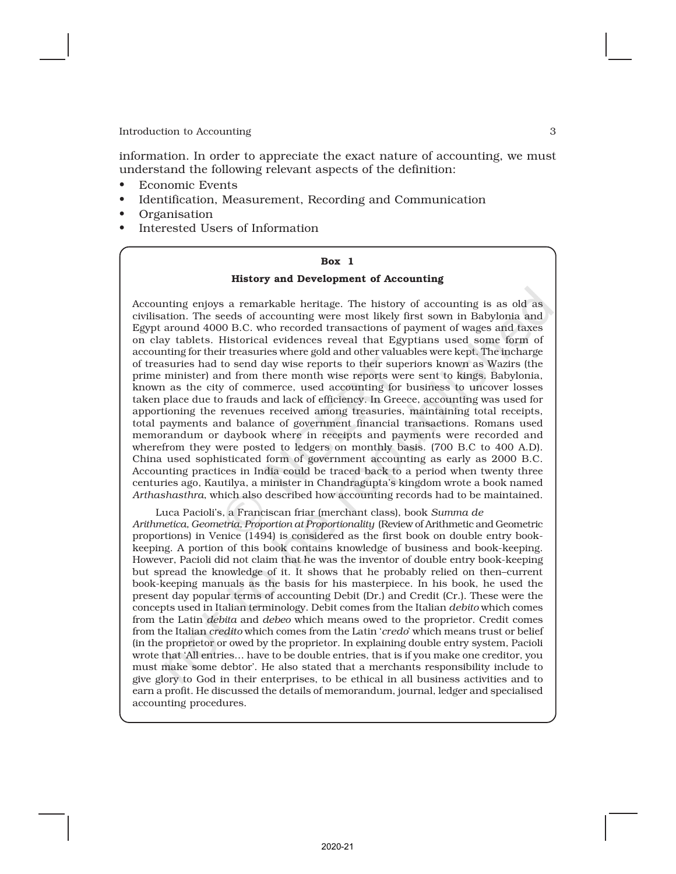information. In order to appreciate the exact nature of accounting, we must understand the following relevant aspects of the definition:

- Economic Events
- Identification, Measurement, Recording and Communication
- Organisation
- Interested Users of Information

#### Box 1

#### History and Development of Accounting

Accounting enjoys a remarkable heritage. The history of accounting is as old as civilisation. The seeds of accounting were most likely first sown in Babylonia and Egypt around 4000 B.C. who recorded transactions of payment of wages and taxes on clay tablets. Historical evidences reveal that Egyptians used some form of accounting for their treasuries where gold and other valuables were kept. The incharge of treasuries had to send day wise reports to their superiors known as Wazirs (the prime minister) and from there month wise reports were sent to kings. Babylonia, known as the city of commerce, used accounting for business to uncover losses taken place due to frauds and lack of efficiency. In Greece, accounting was used for apportioning the revenues received among treasuries, maintaining total receipts, total payments and balance of government financial transactions. Romans used memorandum or daybook where in receipts and payments were recorded and wherefrom they were posted to ledgers on monthly basis. (700 B.C to 400 A.D). China used sophisticated form of government accounting as early as 2000 B.C. Accounting practices in India could be traced back to a period when twenty three centuries ago, Kautilya, a minister in Chandragupta's kingdom wrote a book named *Arthashasthra*, which also described how accounting records had to be maintained.

Luca Pacioli's, a Franciscan friar (merchant class), book *Summa de*

*Arithmetica, Geometria, Proportion at Proportionality* (Review of Arithmetic and Geometric proportions) in Venice (1494) is considered as the first book on double entry bookkeeping. A portion of this book contains knowledge of business and book-keeping. However, Pacioli did not claim that he was the inventor of double entry book-keeping but spread the knowledge of it. It shows that he probably relied on then–current book-keeping manuals as the basis for his masterpiece. In his book, he used the present day popular terms of accounting Debit (Dr.) and Credit (Cr.). These were the concepts used in Italian terminology. Debit comes from the Italian *debito* which comes from the Latin *debita* and *debeo* which means owed to the proprietor. Credit comes from the Italian *credito* which comes from the Latin '*credo*' which means trust or belief (in the proprietor or owed by the proprietor. In explaining double entry system, Pacioli wrote that 'All entries… have to be double entries, that is if you make one creditor, you must make some debtor'. He also stated that a merchants responsibility include to give glory to God in their enterprises, to be ethical in all business activities and to earn a profit. He discussed the details of memorandum, journal, ledger and specialised accounting procedures.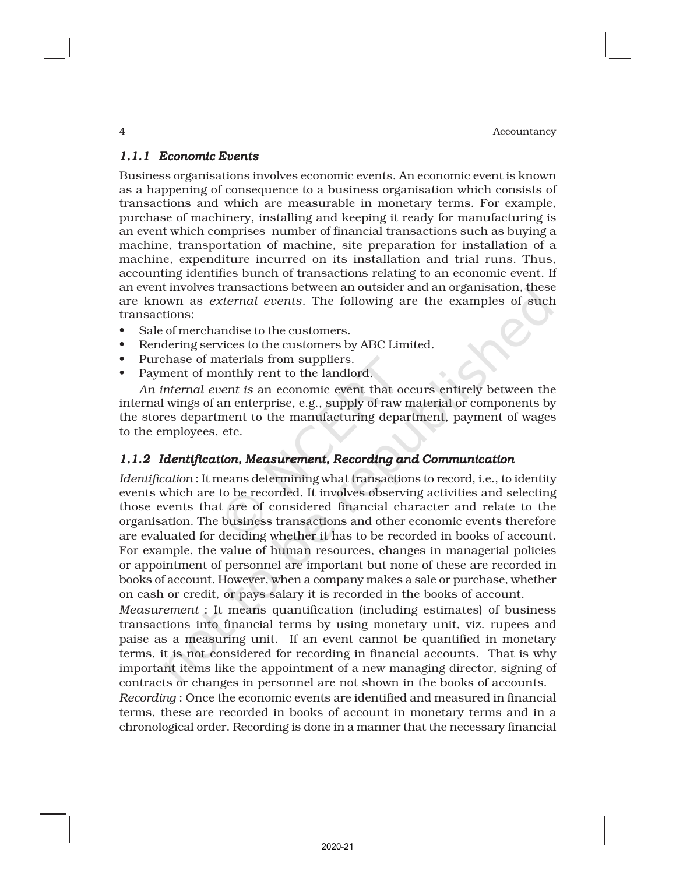## *1.1.1 Economic Events*

Business organisations involves economic events. An economic event is known as a happening of consequence to a business organisation which consists of transactions and which are measurable in monetary terms. For example, purchase of machinery, installing and keeping it ready for manufacturing is an event which comprises number of financial transactions such as buying a machine, transportation of machine, site preparation for installation of a machine, expenditure incurred on its installation and trial runs. Thus, accounting identifies bunch of transactions relating to an economic event. If an event involves transactions between an outsider and an organisation, these are known as *external events*. The following are the examples of such transactions:

- Sale of merchandise to the customers.
- Rendering services to the customers by ABC Limited.
- Purchase of materials from suppliers.
- Payment of monthly rent to the landlord.

*An internal event is* an economic event that occurs entirely between the internal wings of an enterprise, e.g., supply of raw material or components by the stores department to the manufacturing department, payment of wages to the employees, etc.

## *1.1.2 Identification, Measurement, Recording and Communication*

*Identification* : It means determining what transactions to record, i.e., to identity events which are to be recorded. It involves observing activities and selecting those events that are of considered financial character and relate to the organisation. The business transactions and other economic events therefore are evaluated for deciding whether it has to be recorded in books of account. For example, the value of human resources, changes in managerial policies or appointment of personnel are important but none of these are recorded in books of account. However, when a company makes a sale or purchase, whether on cash or credit, or pays salary it is recorded in the books of account.

*Measurement* : It means quantification (including estimates) of business transactions into financial terms by using monetary unit, viz. rupees and paise as a measuring unit. If an event cannot be quantified in monetary terms, it is not considered for recording in financial accounts. That is why important items like the appointment of a new managing director, signing of contracts or changes in personnel are not shown in the books of accounts.

*Recording* : Once the economic events are identified and measured in financial terms, these are recorded in books of account in monetary terms and in a chronological order. Recording is done in a manner that the necessary financial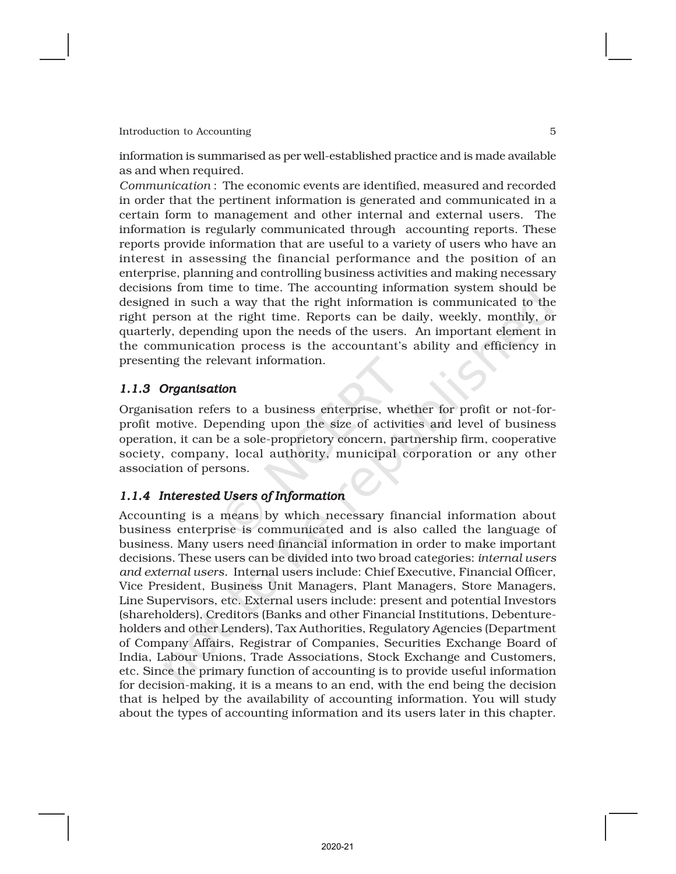information is summarised as per well-established practice and is made available as and when required.

*Communication* : The economic events are identified, measured and recorded in order that the pertinent information is generated and communicated in a certain form to management and other internal and external users. The information is regularly communicated through accounting reports. These reports provide information that are useful to a variety of users who have an interest in assessing the financial performance and the position of an enterprise, planning and controlling business activities and making necessary decisions from time to time. The accounting information system should be designed in such a way that the right information is communicated to the right person at the right time. Reports can be daily, weekly, monthly, or quarterly, depending upon the needs of the users. An important element in the communication process is the accountant's ability and efficiency in presenting the relevant information.

## *1.1.3 Organisation*

Organisation refers to a business enterprise, whether for profit or not-forprofit motive. Depending upon the size of activities and level of business operation, it can be a sole-proprietory concern, partnership firm, cooperative society, company, local authority, municipal corporation or any other association of persons.

## *1.1.4 Interested Users of Information*

Accounting is a means by which necessary financial information about business enterprise is communicated and is also called the language of business. Many users need financial information in order to make important decisions. These users can be divided into two broad categories: *internal users and external users.* Internal users include: Chief Executive, Financial Officer, Vice President, Business Unit Managers, Plant Managers, Store Managers, Line Supervisors, etc. External users include: present and potential Investors (shareholders), Creditors (Banks and other Financial Institutions, Debentureholders and other Lenders), Tax Authorities, Regulatory Agencies (Department of Company Affairs, Registrar of Companies, Securities Exchange Board of India, Labour Unions, Trade Associations, Stock Exchange and Customers, etc. Since the primary function of accounting is to provide useful information for decision-making, it is a means to an end, with the end being the decision that is helped by the availability of accounting information. You will study about the types of accounting information and its users later in this chapter.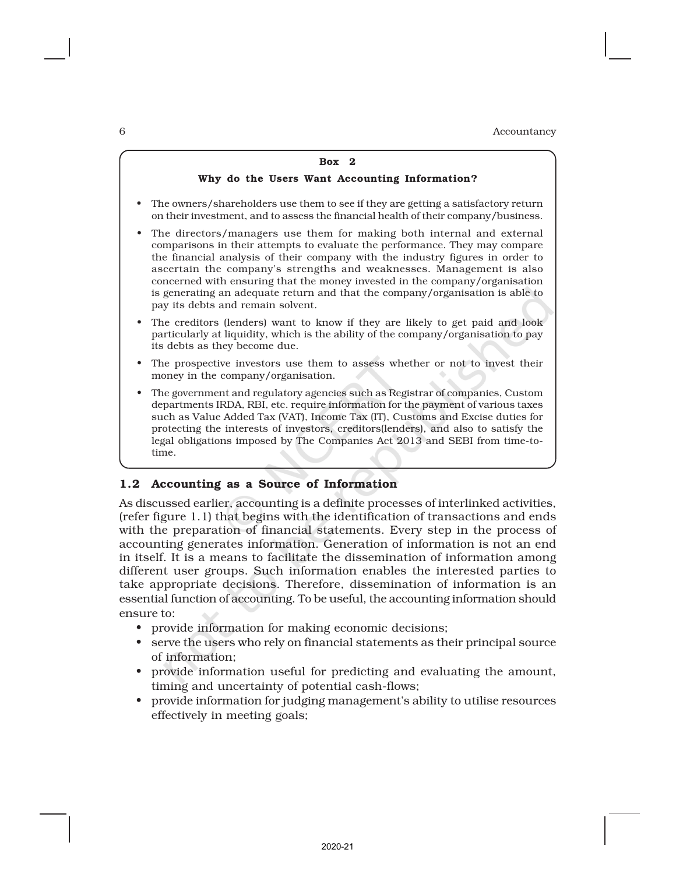## Box 2 Why do the Users Want Accounting Information? • The owners/shareholders use them to see if they are getting a satisfactory return on their investment, and to assess the financial health of their company/business. • The directors/managers use them for making both internal and external comparisons in their attempts to evaluate the performance. They may compare the financial analysis of their company with the industry figures in order to ascertain the company's strengths and weaknesses. Management is also concerned with ensuring that the money invested in the company/organisation is generating an adequate return and that the company/organisation is able to pay its debts and remain solvent. • The creditors (lenders) want to know if they are likely to get paid and look particularly at liquidity, which is the ability of the company/organisation to pay its debts as they become due. • The prospective investors use them to assess whether or not to invest their money in the company/organisation. • The government and regulatory agencies such as Registrar of companies, Custom departments IRDA, RBI, etc. require information for the payment of various taxes such as Value Added Tax (VAT), Income Tax (IT), Customs and Excise duties for protecting the interests of investors, creditors(lenders), and also to satisfy the legal obligations imposed by The Companies Act 2013 and SEBI from time-to-

## 1.2 Accounting as a Source of Information

time.

As discussed earlier, accounting is a definite processes of interlinked activities, (refer figure 1.1) that begins with the identification of transactions and ends with the preparation of financial statements. Every step in the process of accounting generates information. Generation of information is not an end in itself. It is a means to facilitate the dissemination of information among different user groups. Such information enables the interested parties to take appropriate decisions. Therefore, dissemination of information is an essential function of accounting. To be useful, the accounting information should ensure to:

- provide information for making economic decisions;
- serve the users who rely on financial statements as their principal source of information;
- provide information useful for predicting and evaluating the amount, timing and uncertainty of potential cash-flows;
- provide information for judging management's ability to utilise resources effectively in meeting goals;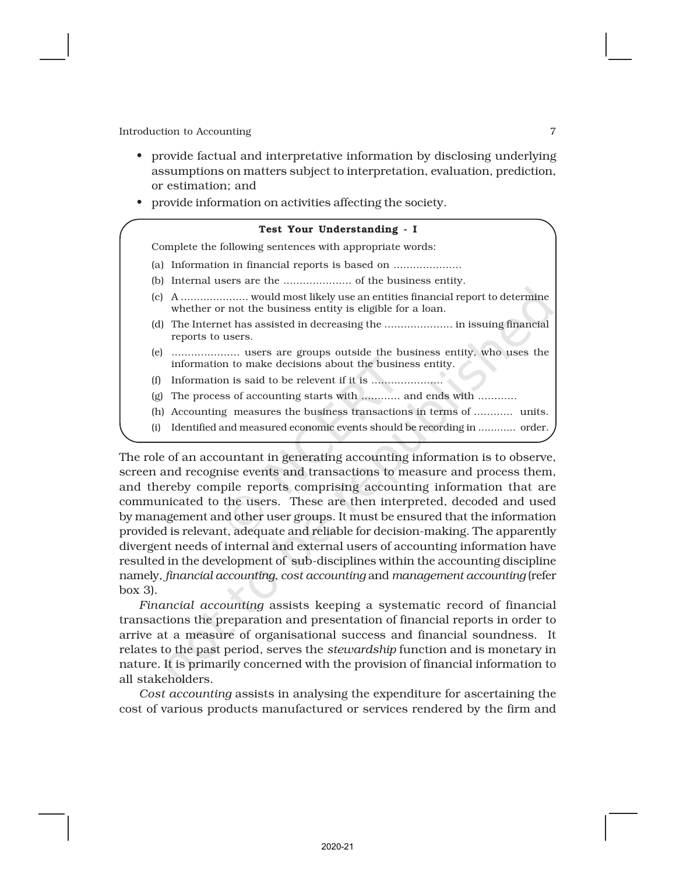- provide factual and interpretative information by disclosing underlying assumptions on matters subject to interpretation, evaluation, prediction, or estimation; and
- provide information on activities affecting the society.

#### Test Your Understanding - I

Complete the following sentences with appropriate words:

- (a) Information in financial reports is based on .....................
- (b) Internal users are the ..................... of the business entity.
- (c) A ..................... would most likely use an entities financial report to determine whether or not the business entity is eligible for a loan.
- (d) The Internet has assisted in decreasing the ..................... in issuing financial reports to users.
- (e) ..................... users are groups outside the business entity, who uses the information to make decisions about the business entity.
- (f) Information is said to be relevent if it is ......................
- (g) The process of accounting starts with ............ and ends with ............
- (h) Accounting measures the business transactions in terms of ............ units.
- (i) Identified and measured economic events should be recording in ............ order.

The role of an accountant in generating accounting information is to observe, screen and recognise events and transactions to measure and process them, and thereby compile reports comprising accounting information that are communicated to the users. These are then interpreted, decoded and used by management and other user groups. It must be ensured that the information provided is relevant, adequate and reliable for decision-making. The apparently divergent needs of internal and external users of accounting information have resulted in the development of sub-disciplines within the accounting discipline namely, *financial accounting*, *cost accounting* and *management accounting* (refer box 3).

*Financial accounting* assists keeping a systematic record of financial transactions the preparation and presentation of financial reports in order to arrive at a measure of organisational success and financial soundness. It relates to the past period, serves the *stewardship* function and is monetary in nature. It is primarily concerned with the provision of financial information to all stakeholders.

*Cost accounting* assists in analysing the expenditure for ascertaining the cost of various products manufactured or services rendered by the firm and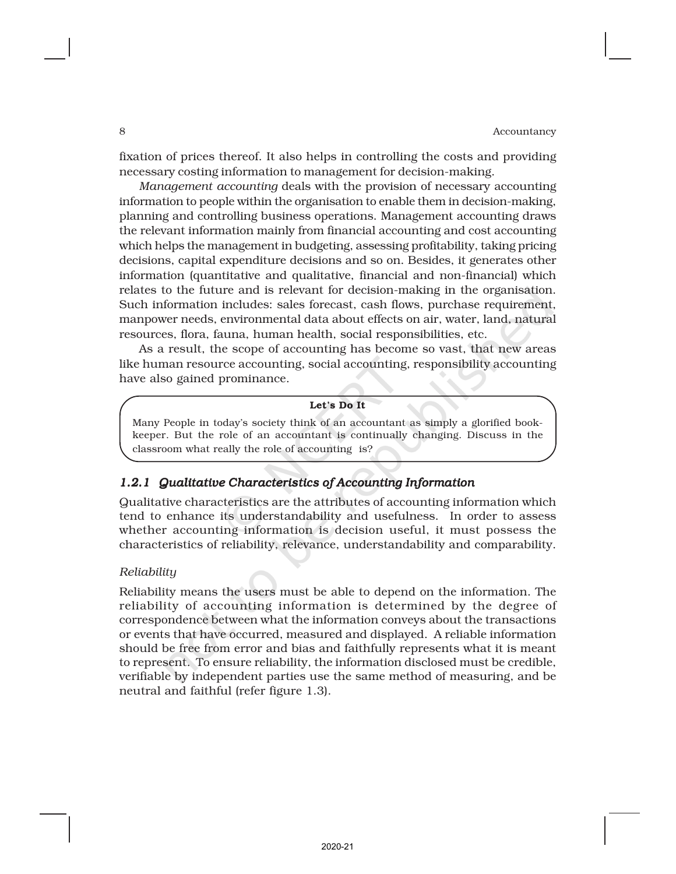fixation of prices thereof. It also helps in controlling the costs and providing necessary costing information to management for decision-making.

*Management accounting* deals with the provision of necessary accounting information to people within the organisation to enable them in decision-making, planning and controlling business operations. Management accounting draws the relevant information mainly from financial accounting and cost accounting which helps the management in budgeting, assessing profitability, taking pricing decisions, capital expenditure decisions and so on. Besides, it generates other information (quantitative and qualitative, financial and non-financial) which relates to the future and is relevant for decision-making in the organisation. Such information includes: sales forecast, cash flows, purchase requirement, manpower needs, environmental data about effects on air, water, land, natural resources, flora, fauna, human health, social responsibilities, etc.

As a result, the scope of accounting has become so vast, that new areas like human resource accounting, social accounting, responsibility accounting have also gained prominance.

### Let's Do It

Many People in today's society think of an accountant as simply a glorified bookkeeper. But the role of an accountant is continually changing. Discuss in the classroom what really the role of accounting is?

#### *1.2.1 Qualitative Characteristics of Accounting Information*

Qualitative characteristics are the attributes of accounting information which tend to enhance its understandability and usefulness. In order to assess whether accounting information is decision useful, it must possess the characteristics of reliability, relevance, understandability and comparability.

## *Reliability*

Reliability means the users must be able to depend on the information. The reliability of accounting information is determined by the degree of correspondence between what the information conveys about the transactions or events that have occurred, measured and displayed. A reliable information should be free from error and bias and faithfully represents what it is meant to represent. To ensure reliability, the information disclosed must be credible, verifiable by independent parties use the same method of measuring, and be neutral and faithful (refer figure 1.3).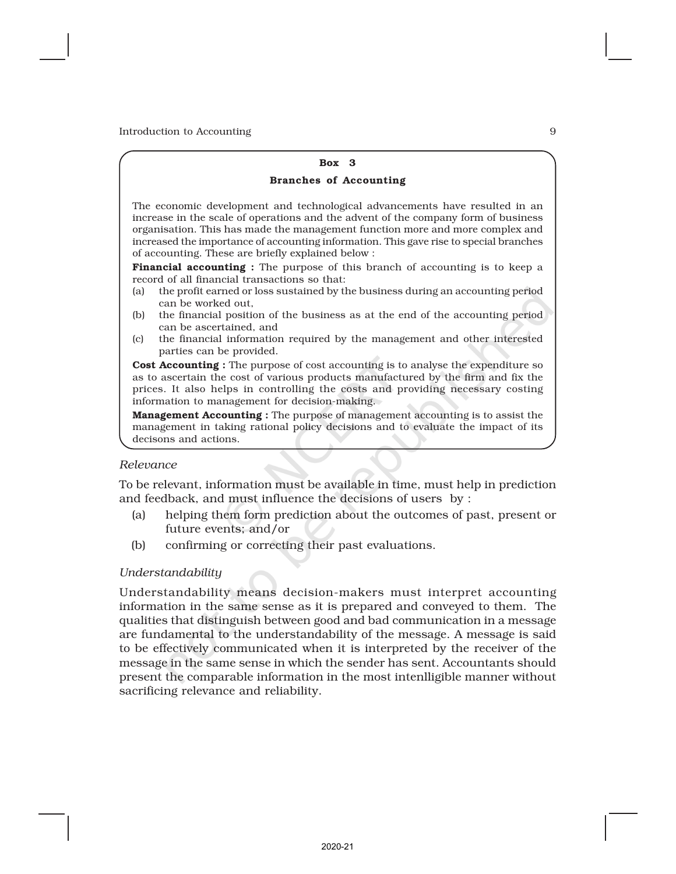# Box 3

#### Branches of Accounting

The economic development and technological advancements have resulted in an increase in the scale of operations and the advent of the company form of business organisation. This has made the management function more and more complex and increased the importance of accounting information. This gave rise to special branches of accounting. These are briefly explained below :

Financial accounting : The purpose of this branch of accounting is to keep a record of all financial transactions so that:

- (a) the profit earned or loss sustained by the business during an accounting period can be worked out,
- (b) the financial position of the business as at the end of the accounting period can be ascertained, and
- (c) the financial information required by the management and other interested parties can be provided.

**Cost Accounting :** The purpose of cost accounting is to analyse the expenditure so as to ascertain the cost of various products manufactured by the firm and fix the prices. It also helps in controlling the costs and providing necessary costing information to management for decision-making.

**Management Accounting**: The purpose of management accounting is to assist the management in taking rational policy decisions and to evaluate the impact of its decisons and actions.

#### *Relevance*

To be relevant, information must be available in time, must help in prediction and feedback, and must influence the decisions of users by :

- (a) helping them form prediction about the outcomes of past, present or future events; and/or
- (b) confirming or correcting their past evaluations.

## *Understandability*

Understandability means decision-makers must interpret accounting information in the same sense as it is prepared and conveyed to them. The qualities that distinguish between good and bad communication in a message are fundamental to the understandability of the message. A message is said to be effectively communicated when it is interpreted by the receiver of the message in the same sense in which the sender has sent. Accountants should present the comparable information in the most intenlligible manner without sacrificing relevance and reliability.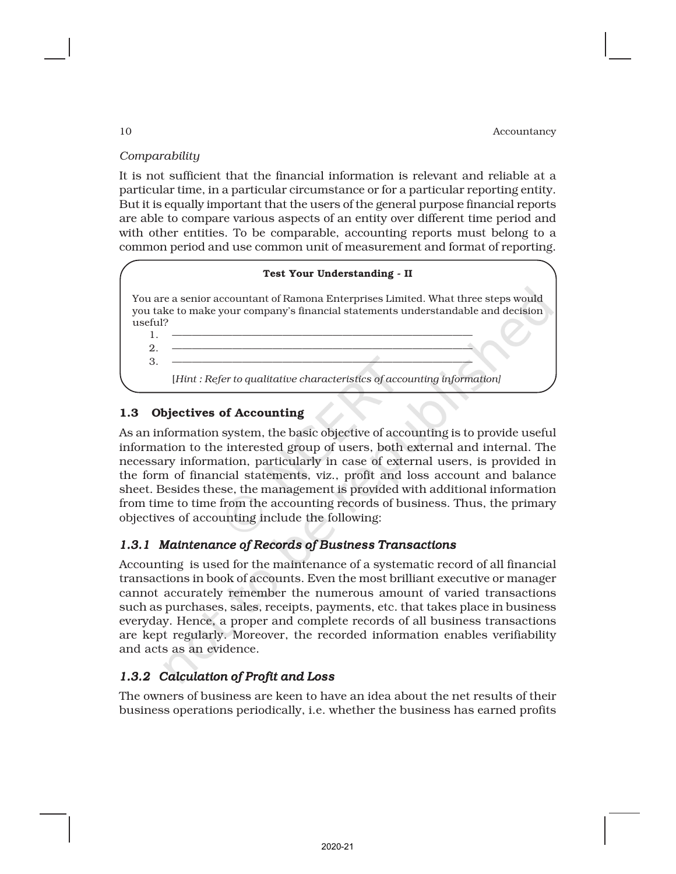## *Comparability*

It is not sufficient that the financial information is relevant and reliable at a particular time, in a particular circumstance or for a particular reporting entity. But it is equally important that the users of the general purpose financial reports are able to compare various aspects of an entity over different time period and with other entities. To be comparable, accounting reports must belong to a common period and use common unit of measurement and format of reporting.

#### Test Your Understanding - II

You are a senior accountant of Ramona Enterprises Limited. What three steps would you take to make your company's financial statements understandable and decision useful?

- 1. ——————————————————————————————
- 2. ——————————————————————————————
- 3. ——————————————————————————————

[*Hint : Refer to qualitative characteristics of accounting information]*

## 1.3 Objectives of Accounting

As an information system, the basic objective of accounting is to provide useful information to the interested group of users, both external and internal. The necessary information, particularly in case of external users, is provided in the form of financial statements, viz., profit and loss account and balance sheet. Besides these, the management is provided with additional information from time to time from the accounting records of business. Thus, the primary objectives of accounting include the following:

## *1.3.1 Maintenance of Records of Business Transactions*

Accounting is used for the maintenance of a systematic record of all financial transactions in book of accounts. Even the most brilliant executive or manager cannot accurately remember the numerous amount of varied transactions such as purchases, sales, receipts, payments, etc. that takes place in business everyday. Hence, a proper and complete records of all business transactions are kept regularly. Moreover, the recorded information enables verifiability and acts as an evidence.

## *1.3.2 Calculation of Profit and Loss*

The owners of business are keen to have an idea about the net results of their business operations periodically, i.e. whether the business has earned profits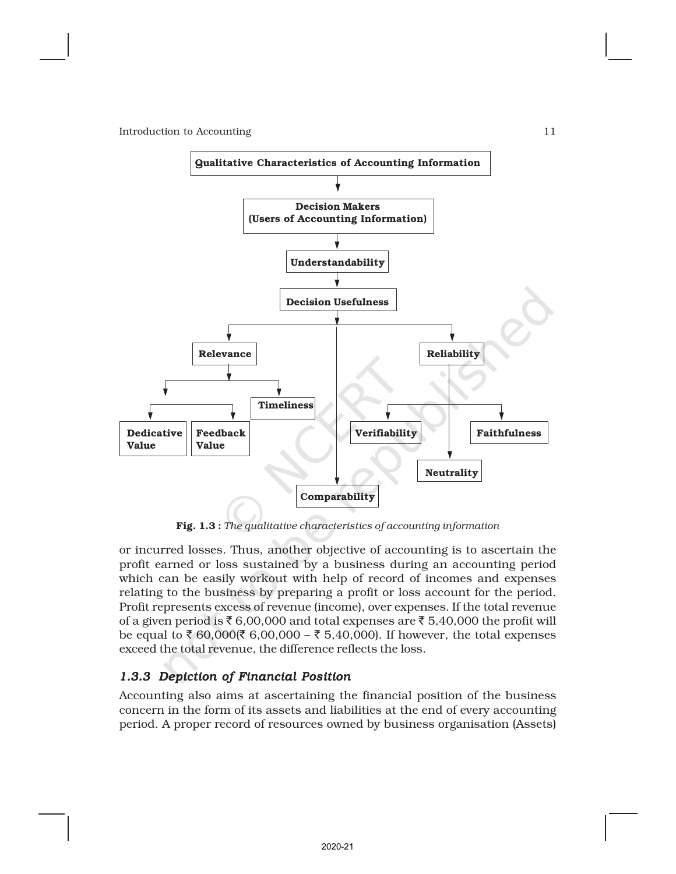

Fig. 1.3 : *The qualitative characteristics of accounting information*

or incurred losses. Thus, another objective of accounting is to ascertain the profit earned or loss sustained by a business during an accounting period which can be easily workout with help of record of incomes and expenses relating to the business by preparing a profit or loss account for the period. Profit represents excess of revenue (income), over expenses. If the total revenue of a given period is  $\bar{\tau}$  6,00,000 and total expenses are  $\bar{\tau}$  5,40,000 the profit will be equal to ₹ 60,000(₹ 6,00,000 – ₹ 5,40,000). If however, the total expenses exceed the total revenue, the difference reflects the loss.

# *1.3.3 Depiction of Financial Position*

Accounting also aims at ascertaining the financial position of the business concern in the form of its assets and liabilities at the end of every accounting period. A proper record of resources owned by business organisation (Assets)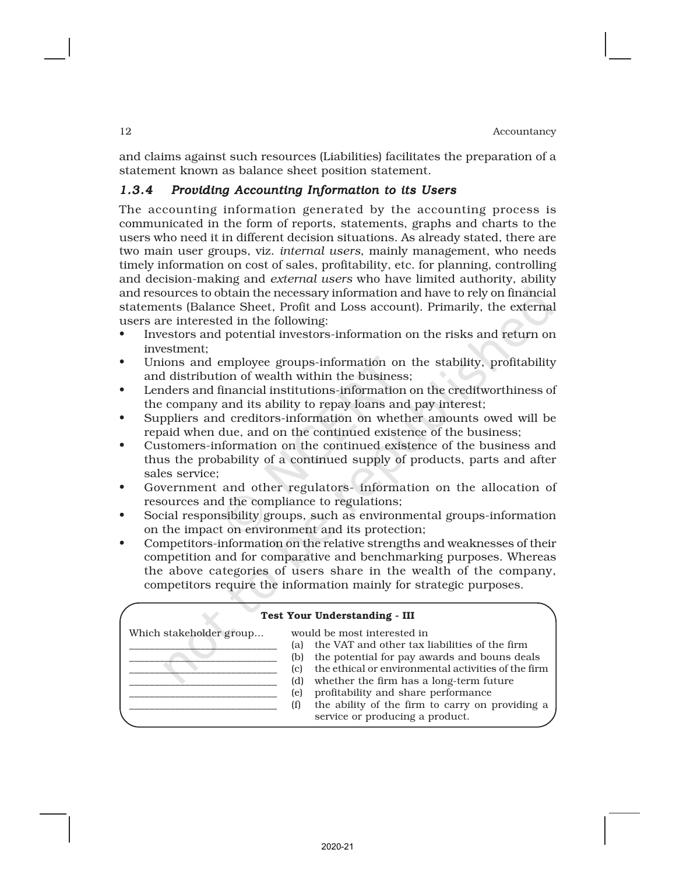and claims against such resources (Liabilities) facilitates the preparation of a statement known as balance sheet position statement.

# *1.3.4 Providing Accounting Information to its Users*

The accounting information generated by the accounting process is communicated in the form of reports, statements, graphs and charts to the users who need it in different decision situations. As already stated, there are two main user groups, viz. *internal users*, mainly management, who needs timely information on cost of sales, profitability, etc. for planning, controlling and decision-making and *external users* who have limited authority, ability and resources to obtain the necessary information and have to rely on financial statements (Balance Sheet, Profit and Loss account). Primarily, the external users are interested in the following:

- Investors and potential investors-information on the risks and return on investment;
- Unions and employee groups-information on the stability, profitability and distribution of wealth within the business;
- Lenders and financial institutions-information on the creditworthiness of the company and its ability to repay loans and pay interest;
- Suppliers and creditors-information on whether amounts owed will be repaid when due, and on the continued existence of the business;
- Customers-information on the continued existence of the business and thus the probability of a continued supply of products, parts and after sales service;
- Government and other regulators- information on the allocation of resources and the compliance to regulations;
- Social responsibility groups, such as environmental groups-information on the impact on environment and its protection;
- Competitors-information on the relative strengths and weaknesses of their competition and for comparative and benchmarking purposes. Whereas the above categories of users share in the wealth of the company, competitors require the information mainly for strategic purposes.

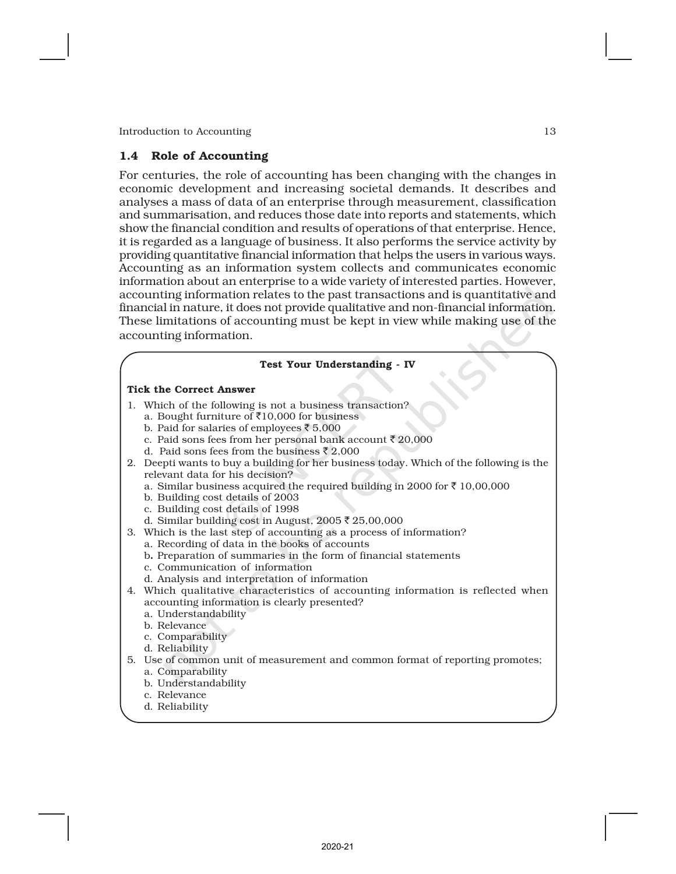#### 1.4 Role of Accounting

For centuries, the role of accounting has been changing with the changes in economic development and increasing societal demands. It describes and analyses a mass of data of an enterprise through measurement, classification and summarisation, and reduces those date into reports and statements, which show the financial condition and results of operations of that enterprise. Hence, it is regarded as a language of business. It also performs the service activity by providing quantitative financial information that helps the users in various ways. Accounting as an information system collects and communicates economic information about an enterprise to a wide variety of interested parties. However, accounting information relates to the past transactions and is quantitative and financial in nature, it does not provide qualitative and non-financial information. These limitations of accounting must be kept in view while making use of the accounting information.

#### Test Your Understanding - IV

#### Tick the Correct Answer

- 1. Which of the following is not a business transaction?
	- a. Bought furniture of  $\bar{5}10,000$  for business
	- b. Paid for salaries of employees  $\bar{\xi}$  5,000
	- c. Paid sons fees from her personal bank account  $\bar{z}$  20,000
	- d. Paid sons fees from the business  $\bar{z}$  2,000
- 2. Deepti wants to buy a building for her business today. Which of the following is the relevant data for his decision?
	- a. Similar business acquired the required building in 2000 for  $\bar{\tau}$  10,00,000
	- b. Building cost details of 2003
	- c. Building cost details of 1998
	- d. Similar building cost in August,  $2005 \bar{\tau} 25,00,000$
- 3. Which is the last step of accounting as a process of information?
	- a. Recording of data in the books of accounts
	- b. Preparation of summaries in the form of financial statements
	- c. Communication of information
	- d. Analysis and interpretation of information
- 4. Which qualitative characteristics of accounting information is reflected when accounting information is clearly presented?
	- a. Understandability
	- b. Relevance
	- c. Comparability
	- d. Reliability
- 5. Use of common unit of measurement and common format of reporting promotes;
	- a. Comparability
	- b. Understandability
	- c. Relevance
	- d. Reliability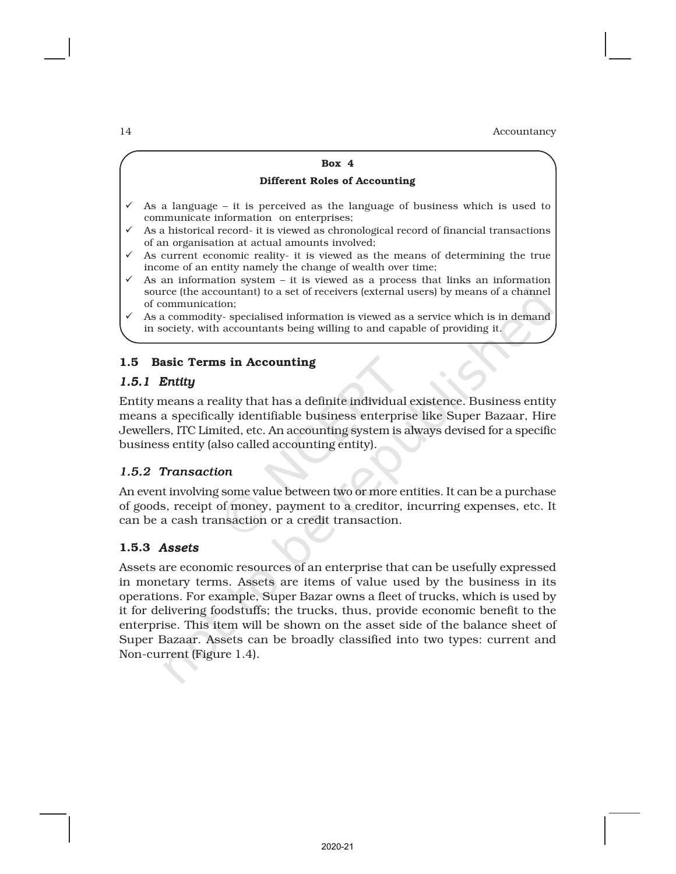## Box 4 Different Roles of Accounting

- ü As a language it is perceived as the language of business which is used to communicate information on enterprises;
- $\checkmark$  As a historical record- it is viewed as chronological record of financial transactions of an organisation at actual amounts involved;
- ü As current economic reality- it is viewed as the means of determining the true income of an entity namely the change of wealth over time;
- As an information system it is viewed as a process that links an information source (the accountant) to a set of receivers (external users) by means of a channel of communication;
- ü As a commodity- specialised information is viewed as a service which is in demand in society, with accountants being willing to and capable of providing it.

## 1.5 Basic Terms in Accounting

## *1.5.1 Entity*

Entity means a reality that has a definite individual existence. Business entity means a specifically identifiable business enterprise like Super Bazaar, Hire Jewellers, ITC Limited, etc. An accounting system is always devised for a specific business entity (also called accounting entity).

## *1.5.2 Transaction*

An event involving some value between two or more entities. It can be a purchase of goods, receipt of money, payment to a creditor, incurring expenses, etc. It can be a cash transaction or a credit transaction.

## 1.5.3 *Assets*

Assets are economic resources of an enterprise that can be usefully expressed in monetary terms. Assets are items of value used by the business in its operations. For example, Super Bazar owns a fleet of trucks, which is used by it for delivering foodstuffs; the trucks, thus, provide economic benefit to the enterprise. This item will be shown on the asset side of the balance sheet of Super Bazaar. Assets can be broadly classified into two types: current and Non-current (Figure 1.4).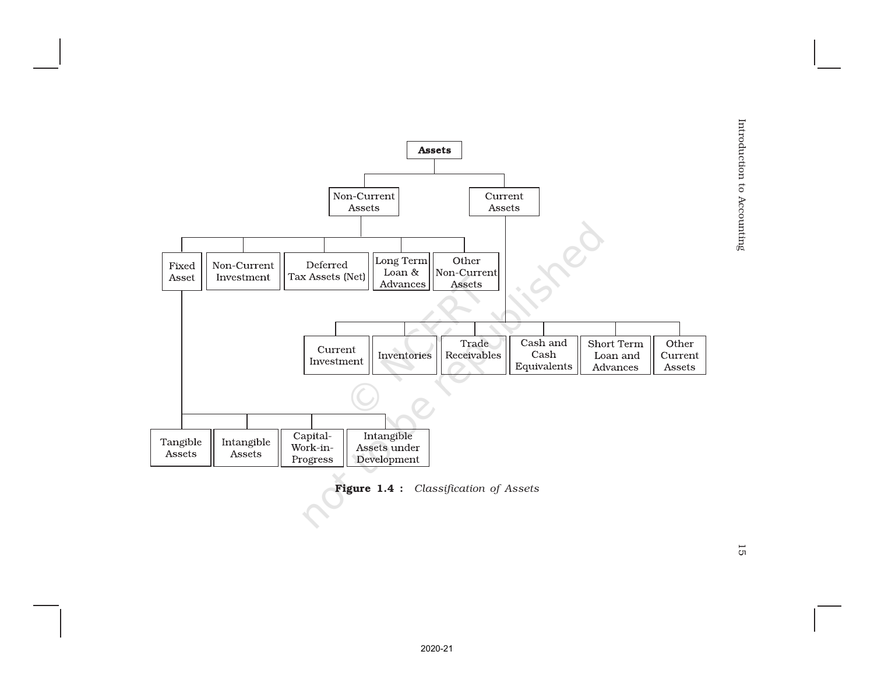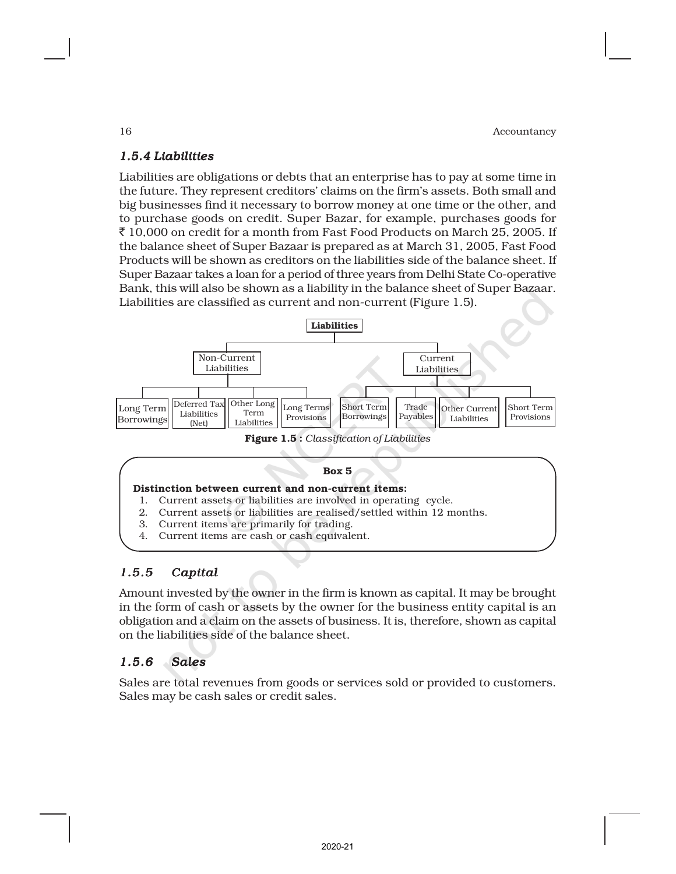## *1.5.4 Liabilities*

Liabilities are obligations or debts that an enterprise has to pay at some time in the future. They represent creditors' claims on the firm's assets. Both small and big businesses find it necessary to borrow money at one time or the other, and to purchase goods on credit. Super Bazar, for example, purchases goods for  $\bar{\mathcal{F}}$  10,000 on credit for a month from Fast Food Products on March 25, 2005. If the balance sheet of Super Bazaar is prepared as at March 31, 2005, Fast Food Products will be shown as creditors on the liabilities side of the balance sheet. If Super Bazaar takes a loan for a period of three years from Delhi State Co-operative Bank, this will also be shown as a liability in the balance sheet of Super Bazaar. Liabilities are classified as current and non-current (Figure 1.5).



#### Box 5

#### Distinction between current and non-current items:

- 1. Current assets or liabilities are involved in operating cycle.
- 2. Current assets or liabilities are realised/settled within 12 months.
- 3. Current items are primarily for trading.
- 4. Current items are cash or cash equivalent.

## *1.5.5 Capital*

Amount invested by the owner in the firm is known as capital. It may be brought in the form of cash or assets by the owner for the business entity capital is an obligation and a claim on the assets of business. It is, therefore, shown as capital on the liabilities side of the balance sheet.

# *1.5.6 Sales*

Sales are total revenues from goods or services sold or provided to customers. Sales may be cash sales or credit sales.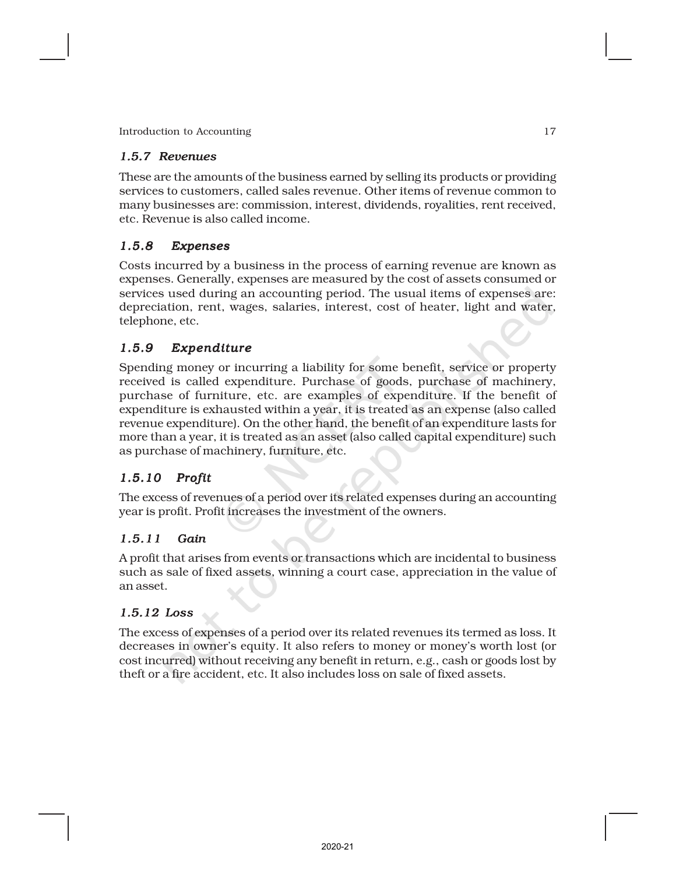## *1.5.7 Revenues*

These are the amounts of the business earned by selling its products or providing services to customers, called sales revenue. Other items of revenue common to many businesses are: commission, interest, dividends, royalities, rent received, etc. Revenue is also called income.

## *1.5.8 Expenses*

Costs incurred by a business in the process of earning revenue are known as expenses. Generally, expenses are measured by the cost of assets consumed or services used during an accounting period. The usual items of expenses are: depreciation, rent, wages, salaries, interest, cost of heater, light and water, telephone, etc.

## *1.5.9 Expenditure*

Spending money or incurring a liability for some benefit, service or property received is called expenditure. Purchase of goods, purchase of machinery, purchase of furniture, etc. are examples of expenditure. If the benefit of expenditure is exhausted within a year, it is treated as an expense (also called revenue expenditure). On the other hand, the benefit of an expenditure lasts for more than a year, it is treated as an asset (also called capital expenditure) such as purchase of machinery, furniture, etc.

# *1.5.10 Profit*

The excess of revenues of a period over its related expenses during an accounting year is profit. Profit increases the investment of the owners.

# *1.5.11 Gain*

A profit that arises from events or transactions which are incidental to business such as sale of fixed assets, winning a court case, appreciation in the value of an asset.

## *1.5.12 Loss*

The excess of expenses of a period over its related revenues its termed as loss. It decreases in owner's equity. It also refers to money or money's worth lost (or cost incurred) without receiving any benefit in return, e.g., cash or goods lost by theft or a fire accident, etc. It also includes loss on sale of fixed assets.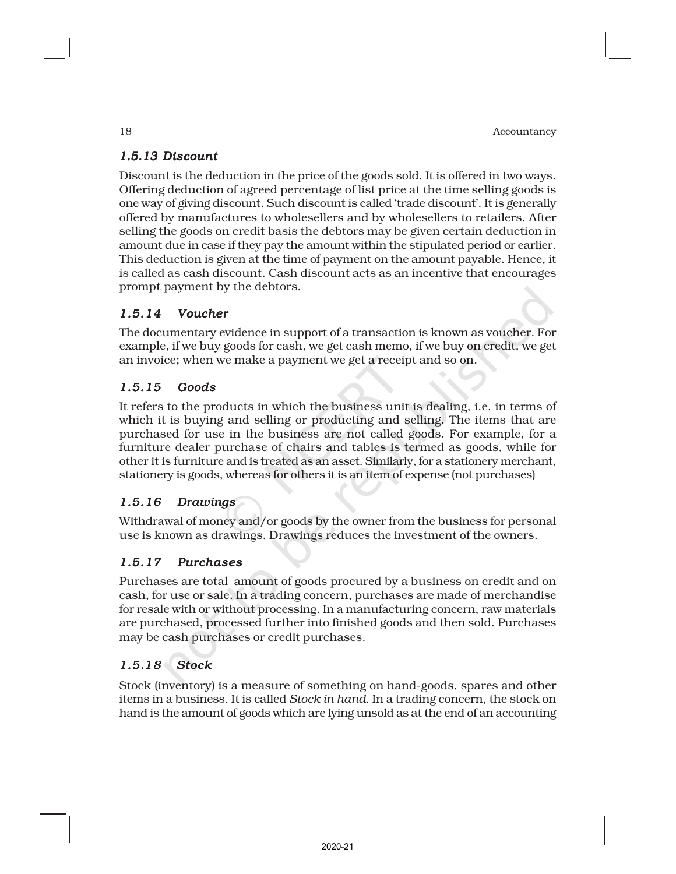18 Accountancy

# *1.5.13 Discount*

Discount is the deduction in the price of the goods sold. It is offered in two ways. Offering deduction of agreed percentage of list price at the time selling goods is one way of giving discount. Such discount is called 'trade discount'. It is generally offered by manufactures to wholesellers and by wholesellers to retailers. After selling the goods on credit basis the debtors may be given certain deduction in amount due in case if they pay the amount within the stipulated period or earlier. This deduction is given at the time of payment on the amount payable. Hence, it is called as cash discount. Cash discount acts as an incentive that encourages prompt payment by the debtors.

# *1.5.14 Voucher Voucher*

The documentary evidence in support of a transaction is known as voucher. For example, if we buy goods for cash, we get cash memo, if we buy on credit, we get an invoice; when we make a payment we get a receipt and so on.

# *1.5.15 Goods*

It refers to the products in which the business unit is dealing, i.e. in terms of which it is buying and selling or producting and selling. The items that are purchased for use in the business are not called goods. For example, for a furniture dealer purchase of chairs and tables is termed as goods, while for other it is furniture and is treated as an asset. Similarly, for a stationery merchant, stationery is goods, whereas for others it is an item of expense (not purchases)

# *1.5.16 Drawings*

Withdrawal of money and/or goods by the owner from the business for personal use is known as drawings. Drawings reduces the investment of the owners.

## *1.5.17 Purchases*

Purchases are total amount of goods procured by a business on credit and on cash, for use or sale. In a trading concern, purchases are made of merchandise for resale with or without processing. In a manufacturing concern, raw materials are purchased, processed further into finished goods and then sold. Purchases may be cash purchases or credit purchases.

# *1.5.18 Stock*

Stock (inventory) is a measure of something on hand-goods, spares and other items in a business. It is called *Stock in hand*. In a trading concern, the stock on hand is the amount of goods which are lying unsold as at the end of an accounting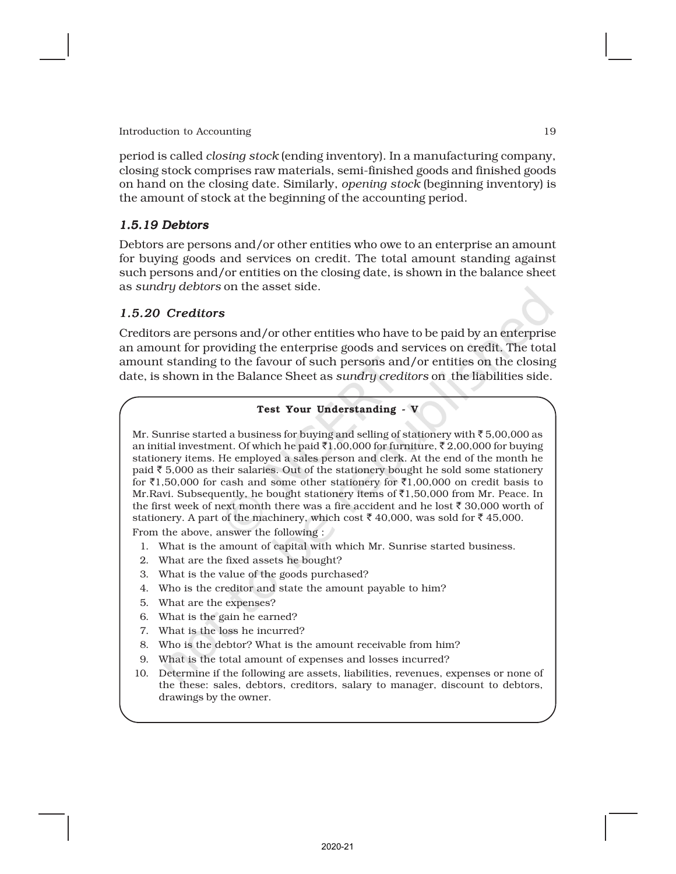period is called *closing stock* (ending inventory). In a manufacturing company, closing stock comprises raw materials, semi-finished goods and finished goods on hand on the closing date. Similarly, *opening stock* (beginning inventory) is the amount of stock at the beginning of the accounting period.

## *1.5.19 Debtors*

Debtors are persons and/or other entities who owe to an enterprise an amount for buying goods and services on credit. The total amount standing against such persons and/or entities on the closing date, is shown in the balance sheet as *sundry debtors* on the asset side.

## *1.5.20 Creditors*

Creditors are persons and/or other entities who have to be paid by an enterprise an amount for providing the enterprise goods and services on credit. The total amount standing to the favour of such persons and/or entities on the closing date, is shown in the Balance Sheet as *sundry creditors* on the liabilities side.

#### Test Your Understanding - V

Mr. Sunrise started a business for buying and selling of stationery with  $\bar{\tau}$  5,00,000 as an initial investment. Of which he paid  $\bar{\tau}1,00,000$  for furniture,  $\bar{\tau}2,00,000$  for buying stationery items. He employed a sales person and clerk. At the end of the month he paid  $\bar{\tau}$  5,000 as their salaries. Out of the stationery bought he sold some stationery for  $\bar{\tau}1,50,000$  for cash and some other stationery for  $\bar{\tau}1,00,000$  on credit basis to Mr.Ravi. Subsequently, he bought stationery items of  $\bar{\tau}1,50,000$  from Mr. Peace. In the first week of next month there was a fire accident and he lost  $\bar{\tau}$  30,000 worth of stationery. A part of the machinery, which cost  $\bar{\tau}$  40,000, was sold for  $\bar{\tau}$  45,000.

From the above, answer the following :

- 1. What is the amount of capital with which Mr. Sunrise started business.
- 2. What are the fixed assets he bought?
- 3. What is the value of the goods purchased?
- 4. Who is the creditor and state the amount payable to him?
- 5. What are the expenses?
- 6. What is the gain he earned?
- 7. What is the loss he incurred?
- 8. Who is the debtor? What is the amount receivable from him?
- 9. What is the total amount of expenses and losses incurred?
- 10. Determine if the following are assets, liabilities, revenues, expenses or none of the these: sales, debtors, creditors, salary to manager, discount to debtors, drawings by the owner.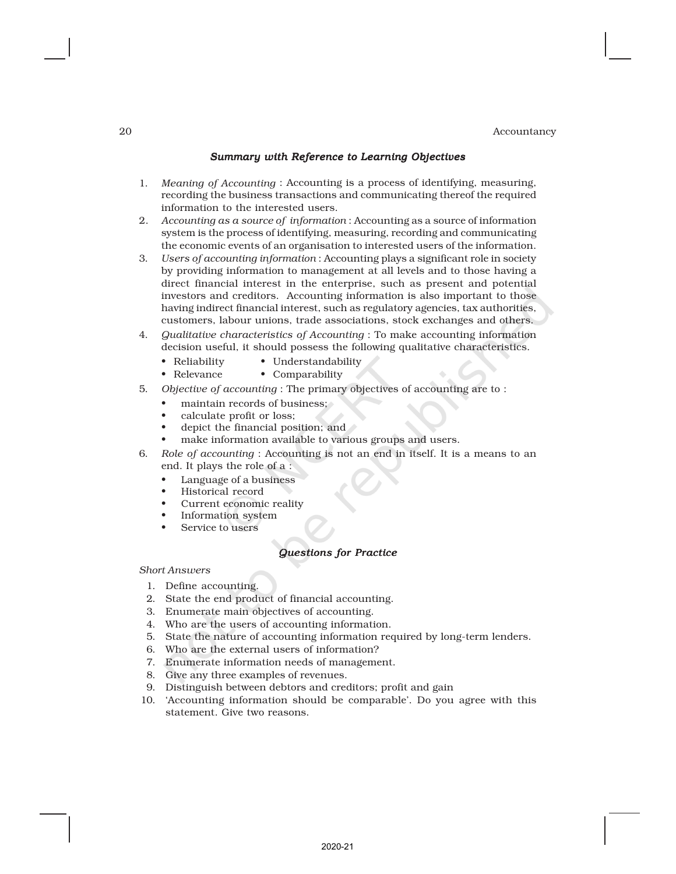#### 20 Accountancy

#### *Summary with Reference to Learning Objectives*

- 1. *Meaning of Accounting* : Accounting is a process of identifying, measuring, recording the business transactions and communicating thereof the required information to the interested users.
- 2. *Accounting as a source of information* : Accounting as a source of information system is the process of identifying, measuring, recording and communicating the economic events of an organisation to interested users of the information.
- 3. *Users of accounting information* : Accounting plays a significant role in society by providing information to management at all levels and to those having a direct financial interest in the enterprise, such as present and potential investors and creditors. Accounting information is also important to those having indirect financial interest, such as regulatory agencies, tax authorities, customers, labour unions, trade associations, stock exchanges and others.
- 4. *Qualitative characteristics of Accounting* : To make accounting information decision useful, it should possess the following qualitative characteristics.
	- Reliability Understandability
	- Relevance Comparability
- 5. *Objective of accounting* : The primary objectives of accounting are to :
	- maintain records of business;
	- calculate profit or loss;
	- depict the financial position; and
	- make information available to various groups and users.
- 6. *Role of accounting* : Accounting is not an end in itself. It is a means to an end. It plays the role of a :
	- Language of a business
	- Historical record
	- Current economic reality
	- Information system
	- Service to users

#### *Questions for Practice*

#### *Short Answers*

- 1. Define accounting.
- 2. State the end product of financial accounting.
- 3. Enumerate main objectives of accounting.
- 4. Who are the users of accounting information.
- 5. State the nature of accounting information required by long-term lenders.
- 6. Who are the external users of information?
- 7. Enumerate information needs of management.
- 8. Give any three examples of revenues.
- 9. Distinguish between debtors and creditors; profit and gain
- 10. 'Accounting information should be comparable'. Do you agree with this statement. Give two reasons.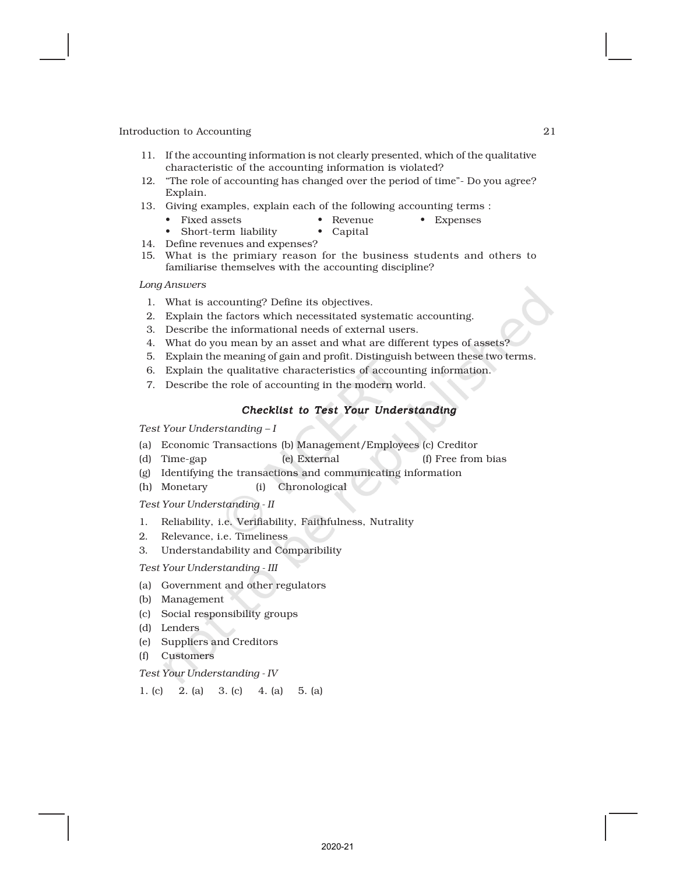- 11. If the accounting information is not clearly presented, which of the qualitative characteristic of the accounting information is violated?
- 12. "The role of accounting has changed over the period of time"- Do you agree? Explain.
- 13. Giving examples, explain each of the following accounting terms :
	- Fixed assets Revenue Expenses
	- Short-term liability Capital
- 14. Define revenues and expenses?
- 15. What is the primiary reason for the business students and others to familiarise themselves with the accounting discipline?

#### *Long Answers*

- 1. What is accounting? Define its objectives.
- 2. Explain the factors which necessitated systematic accounting.
- 3. Describe the informational needs of external users.
- 4. What do you mean by an asset and what are different types of assets?
- 5. Explain the meaning of gain and profit. Distinguish between these two terms.
- 6. Explain the qualitative characteristics of accounting information.
- 7. Describe the role of accounting in the modern world.

#### *Checklist to Test Your Understanding*

*Test Your Understanding – I*

- (a) Economic Transactions (b) Management/Employees (c) Creditor
- (d) Time-gap (e) External (f) Free from bias
- (g) Identifying the transactions and communicating information
- (h) Monetary (i) Chronological

*Test Your Understanding - II*

- 1. Reliability, i.e. Verifiability, Faithfulness, Nutrality
- 2. Relevance, i.e. Timeliness
- 3. Understandability and Comparibility

*Test Your Understanding - III*

- (a) Government and other regulators
- (b) Management
- (c) Social responsibility groups
- (d) Lenders
- (e) Suppliers and Creditors
- (f) Customers

*Test Your Understanding - IV*

1. (c) 2. (a) 3. (c) 4. (a) 5. (a)